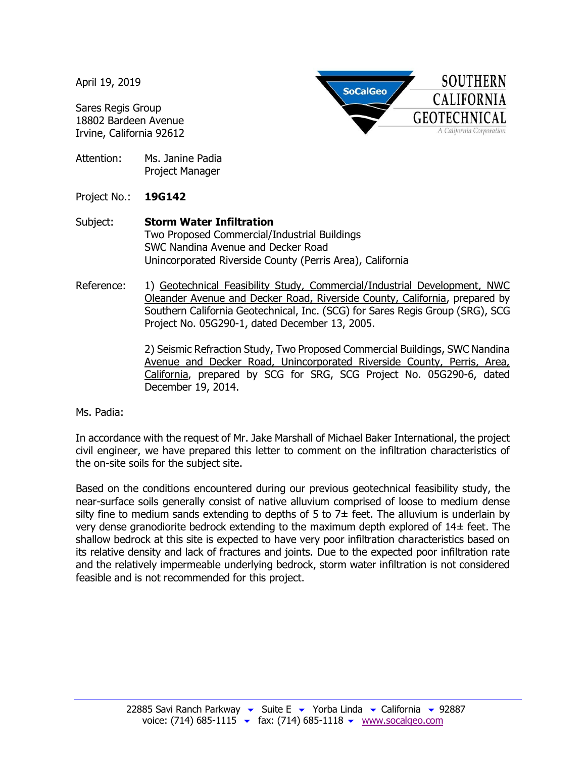April 19, 2019

Sares Regis Group 18802 Bardeen Avenue Irvine, California 92612

Attention: Ms. Janine Padia Project Manager

Project No.: **19G142**

- Subject: **Storm Water Infiltration** Two Proposed Commercial/Industrial Buildings SWC Nandina Avenue and Decker Road Unincorporated Riverside County (Perris Area), California
- Reference: 1) Geotechnical Feasibility Study, Commercial/Industrial Development, NWC Oleander Avenue and Decker Road, Riverside County, California, prepared by Southern California Geotechnical, Inc. (SCG) for Sares Regis Group (SRG), SCG Project No. 05G290-1, dated December 13, 2005.

2) Seismic Refraction Study, Two Proposed Commercial Buildings, SWC Nandina Avenue and Decker Road, Unincorporated Riverside County, Perris, Area, California, prepared by SCG for SRG, SCG Project No. 05G290-6, dated December 19, 2014.

**SoCalGeo** 

**SOUTHERN** 

**CALIFORNIA** 

**GEOTECHNICAL** A California Corporation

Ms. Padia:

In accordance with the request of Mr. Jake Marshall of Michael Baker International, the project civil engineer, we have prepared this letter to comment on the infiltration characteristics of the on-site soils for the subject site.

Based on the conditions encountered during our previous geotechnical feasibility study, the near-surface soils generally consist of native alluvium comprised of loose to medium dense silty fine to medium sands extending to depths of 5 to  $7\pm$  feet. The alluvium is underlain by very dense granodiorite bedrock extending to the maximum depth explored of 14± feet. The shallow bedrock at this site is expected to have very poor infiltration characteristics based on its relative density and lack of fractures and joints. Due to the expected poor infiltration rate and the relatively impermeable underlying bedrock, storm water infiltration is not considered feasible and is not recommended for this project.